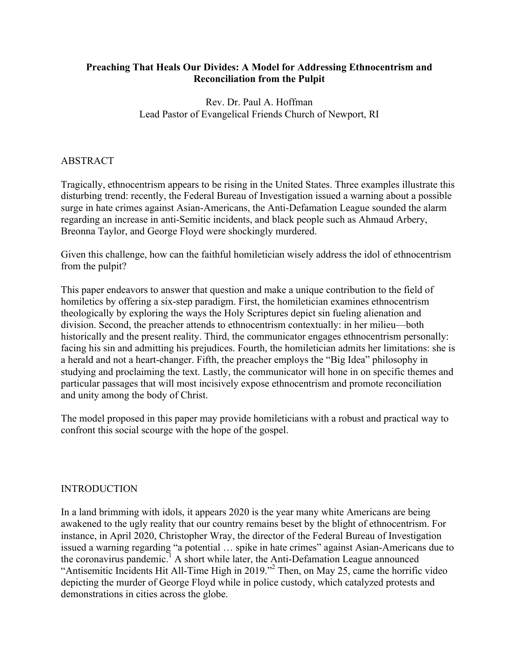# **Preaching That Heals Our Divides: A Model for Addressing Ethnocentrism and Reconciliation from the Pulpit**

Rev. Dr. Paul A. Hoffman Lead Pastor of Evangelical Friends Church of Newport, RI

# ABSTRACT

Tragically, ethnocentrism appears to be rising in the United States. Three examples illustrate this disturbing trend: recently, the Federal Bureau of Investigation issued a warning about a possible surge in hate crimes against Asian-Americans, the Anti-Defamation League sounded the alarm regarding an increase in anti-Semitic incidents, and black people such as Ahmaud Arbery, Breonna Taylor, and George Floyd were shockingly murdered.

Given this challenge, how can the faithful homiletician wisely address the idol of ethnocentrism from the pulpit?

This paper endeavors to answer that question and make a unique contribution to the field of homiletics by offering a six-step paradigm. First, the homiletician examines ethnocentrism theologically by exploring the ways the Holy Scriptures depict sin fueling alienation and division. Second, the preacher attends to ethnocentrism contextually: in her milieu—both historically and the present reality. Third, the communicator engages ethnocentrism personally: facing his sin and admitting his prejudices. Fourth, the homiletician admits her limitations: she is a herald and not a heart-changer. Fifth, the preacher employs the "Big Idea" philosophy in studying and proclaiming the text. Lastly, the communicator will hone in on specific themes and particular passages that will most incisively expose ethnocentrism and promote reconciliation and unity among the body of Christ.

The model proposed in this paper may provide homileticians with a robust and practical way to confront this social scourge with the hope of the gospel.

# INTRODUCTION

In a land brimming with idols, it appears 2020 is the year many white Americans are being awakened to the ugly reality that our country remains beset by the blight of ethnocentrism. For instance, in April 2020, Christopher Wray, the director of the Federal Bureau of Investigation issued a warning regarding "a potential … spike in hate crimes" against Asian-Americans due to the coronavirus pandemic.<sup>1</sup> A short while later, the Anti-Defamation League announced "Antisemitic Incidents Hit All-Time High in 2019."<sup>2</sup> Then, on May 25, came the horrific video depicting the murder of George Floyd while in police custody, which catalyzed protests and demonstrations in cities across the globe.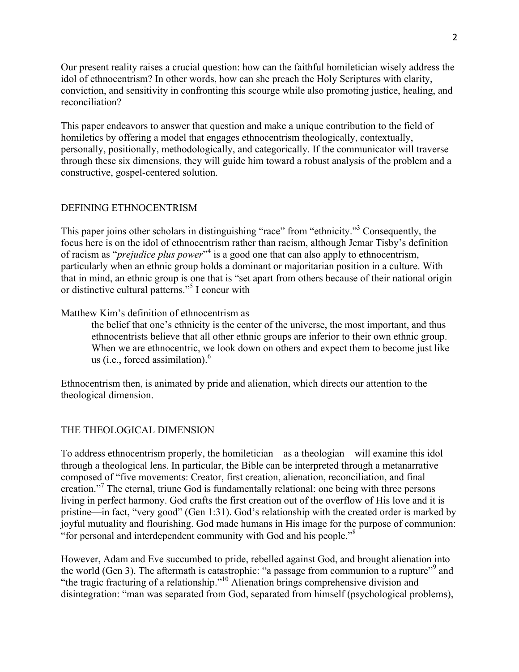Our present reality raises a crucial question: how can the faithful homiletician wisely address the idol of ethnocentrism? In other words, how can she preach the Holy Scriptures with clarity, conviction, and sensitivity in confronting this scourge while also promoting justice, healing, and reconciliation?

This paper endeavors to answer that question and make a unique contribution to the field of homiletics by offering a model that engages ethnocentrism theologically, contextually, personally, positionally, methodologically, and categorically. If the communicator will traverse through these six dimensions, they will guide him toward a robust analysis of the problem and a constructive, gospel-centered solution.

# DEFINING ETHNOCENTRISM

This paper joins other scholars in distinguishing "race" from "ethnicity."3 Consequently, the focus here is on the idol of ethnocentrism rather than racism, although Jemar Tisby's definition of racism as "*prejudice plus power*" <sup>4</sup> is a good one that can also apply to ethnocentrism, particularly when an ethnic group holds a dominant or majoritarian position in a culture. With that in mind, an ethnic group is one that is "set apart from others because of their national origin or distinctive cultural patterns."5 I concur with

Matthew Kim's definition of ethnocentrism as

the belief that one's ethnicity is the center of the universe, the most important, and thus ethnocentrists believe that all other ethnic groups are inferior to their own ethnic group. When we are ethnocentric, we look down on others and expect them to become just like us (i.e., forced assimilation). $<sup>6</sup>$ </sup>

Ethnocentrism then, is animated by pride and alienation, which directs our attention to the theological dimension.

# THE THEOLOGICAL DIMENSION

To address ethnocentrism properly, the homiletician—as a theologian—will examine this idol through a theological lens. In particular, the Bible can be interpreted through a metanarrative composed of "five movements: Creator, first creation, alienation, reconciliation, and final creation."<sup>7</sup> The eternal, triune God is fundamentally relational: one being with three persons living in perfect harmony. God crafts the first creation out of the overflow of His love and it is pristine—in fact, "very good" (Gen 1:31). God's relationship with the created order is marked by joyful mutuality and flourishing. God made humans in His image for the purpose of communion: "for personal and interdependent community with God and his people."<sup>8</sup>

However, Adam and Eve succumbed to pride, rebelled against God, and brought alienation into the world (Gen 3). The aftermath is catastrophic: "a passage from communion to a rupture"<sup>9</sup> and "the tragic fracturing of a relationship."10 Alienation brings comprehensive division and disintegration: "man was separated from God, separated from himself (psychological problems),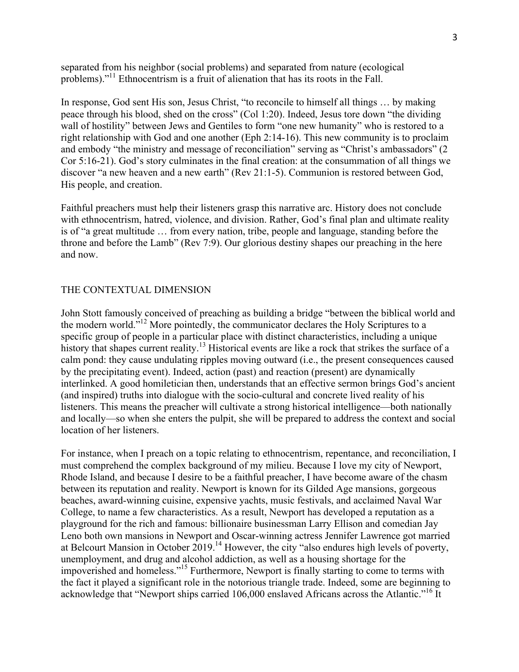separated from his neighbor (social problems) and separated from nature (ecological problems)."11 Ethnocentrism is a fruit of alienation that has its roots in the Fall.

In response, God sent His son, Jesus Christ, "to reconcile to himself all things … by making peace through his blood, shed on the cross" (Col 1:20). Indeed, Jesus tore down "the dividing wall of hostility" between Jews and Gentiles to form "one new humanity" who is restored to a right relationship with God and one another (Eph 2:14-16). This new community is to proclaim and embody "the ministry and message of reconciliation" serving as "Christ's ambassadors" (2 Cor 5:16-21). God's story culminates in the final creation: at the consummation of all things we discover "a new heaven and a new earth" (Rev 21:1-5). Communion is restored between God, His people, and creation.

Faithful preachers must help their listeners grasp this narrative arc. History does not conclude with ethnocentrism, hatred, violence, and division. Rather, God's final plan and ultimate reality is of "a great multitude … from every nation, tribe, people and language, standing before the throne and before the Lamb" (Rev 7:9). Our glorious destiny shapes our preaching in the here and now.

### THE CONTEXTUAL DIMENSION

John Stott famously conceived of preaching as building a bridge "between the biblical world and the modern world."12 More pointedly, the communicator declares the Holy Scriptures to a specific group of people in a particular place with distinct characteristics, including a unique history that shapes current reality. <sup>13</sup> Historical events are like a rock that strikes the surface of a calm pond: they cause undulating ripples moving outward (i.e., the present consequences caused by the precipitating event). Indeed, action (past) and reaction (present) are dynamically interlinked. A good homiletician then, understands that an effective sermon brings God's ancient (and inspired) truths into dialogue with the socio-cultural and concrete lived reality of his listeners. This means the preacher will cultivate a strong historical intelligence—both nationally and locally—so when she enters the pulpit, she will be prepared to address the context and social location of her listeners.

For instance, when I preach on a topic relating to ethnocentrism, repentance, and reconciliation, I must comprehend the complex background of my milieu. Because I love my city of Newport, Rhode Island, and because I desire to be a faithful preacher, I have become aware of the chasm between its reputation and reality. Newport is known for its Gilded Age mansions, gorgeous beaches, award-winning cuisine, expensive yachts, music festivals, and acclaimed Naval War College, to name a few characteristics. As a result, Newport has developed a reputation as a playground for the rich and famous: billionaire businessman Larry Ellison and comedian Jay Leno both own mansions in Newport and Oscar-winning actress Jennifer Lawrence got married at Belcourt Mansion in October  $2019<sup>14</sup>$  However, the city "also endures high levels of poverty, unemployment, and drug and alcohol addiction, as well as a housing shortage for the impoverished and homeless."15 Furthermore, Newport is finally starting to come to terms with the fact it played a significant role in the notorious triangle trade. Indeed, some are beginning to acknowledge that "Newport ships carried 106,000 enslaved Africans across the Atlantic."<sup>16</sup> It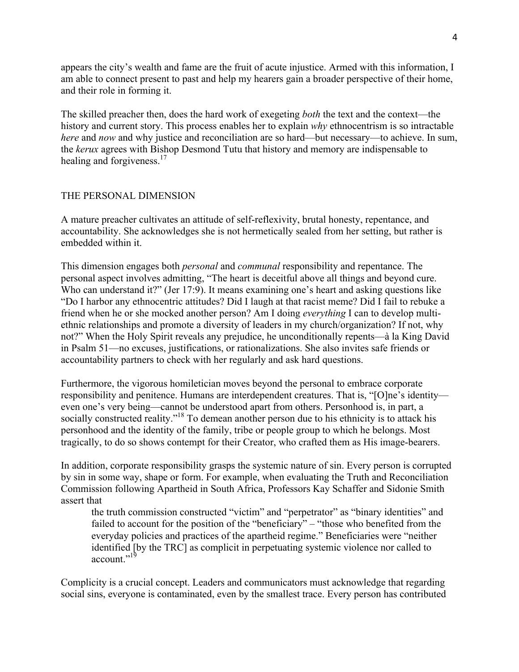appears the city's wealth and fame are the fruit of acute injustice. Armed with this information, I am able to connect present to past and help my hearers gain a broader perspective of their home, and their role in forming it.

The skilled preacher then, does the hard work of exegeting *both* the text and the context—the history and current story. This process enables her to explain *why* ethnocentrism is so intractable *here* and *now* and why justice and reconciliation are so hard—but necessary—to achieve. In sum, the *kerux* agrees with Bishop Desmond Tutu that history and memory are indispensable to healing and forgiveness.<sup>17</sup>

## THE PERSONAL DIMENSION

A mature preacher cultivates an attitude of self-reflexivity, brutal honesty, repentance, and accountability. She acknowledges she is not hermetically sealed from her setting, but rather is embedded within it.

This dimension engages both *personal* and *communal* responsibility and repentance. The personal aspect involves admitting, "The heart is deceitful above all things and beyond cure. Who can understand it?" (Jer 17:9). It means examining one's heart and asking questions like "Do I harbor any ethnocentric attitudes? Did I laugh at that racist meme? Did I fail to rebuke a friend when he or she mocked another person? Am I doing *everything* I can to develop multiethnic relationships and promote a diversity of leaders in my church/organization? If not, why not?" When the Holy Spirit reveals any prejudice, he unconditionally repents—à la King David in Psalm 51—no excuses, justifications, or rationalizations. She also invites safe friends or accountability partners to check with her regularly and ask hard questions.

Furthermore, the vigorous homiletician moves beyond the personal to embrace corporate responsibility and penitence. Humans are interdependent creatures. That is, "[O]ne's identity even one's very being—cannot be understood apart from others. Personhood is, in part, a socially constructed reality."<sup>18</sup> To demean another person due to his ethnicity is to attack his personhood and the identity of the family, tribe or people group to which he belongs. Most tragically, to do so shows contempt for their Creator, who crafted them as His image-bearers.

In addition, corporate responsibility grasps the systemic nature of sin. Every person is corrupted by sin in some way, shape or form. For example, when evaluating the Truth and Reconciliation Commission following Apartheid in South Africa, Professors Kay Schaffer and Sidonie Smith assert that

the truth commission constructed "victim" and "perpetrator" as "binary identities" and failed to account for the position of the "beneficiary" – "those who benefited from the everyday policies and practices of the apartheid regime." Beneficiaries were "neither identified [by the TRC] as complicit in perpetuating systemic violence nor called to account.<sup>"19</sup>

Complicity is a crucial concept. Leaders and communicators must acknowledge that regarding social sins, everyone is contaminated, even by the smallest trace. Every person has contributed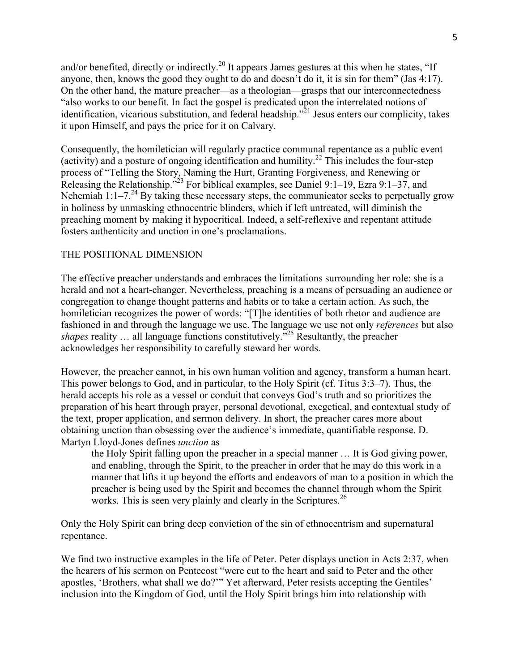and/or benefited, directly or indirectly.<sup>20</sup> It appears James gestures at this when he states, "If anyone, then, knows the good they ought to do and doesn't do it, it is sin for them" (Jas 4:17). On the other hand, the mature preacher—as a theologian—grasps that our interconnectedness "also works to our benefit. In fact the gospel is predicated upon the interrelated notions of identification, vicarious substitution, and federal headship.<sup> $2^{1}$ </sup> Jesus enters our complicity, takes it upon Himself, and pays the price for it on Calvary.

Consequently, the homiletician will regularly practice communal repentance as a public event (activity) and a posture of ongoing identification and humility.<sup>22</sup> This includes the four-step process of "Telling the Story, Naming the Hurt, Granting Forgiveness, and Renewing or Releasing the Relationship.<sup> $523$ </sup> For biblical examples, see Daniel 9:1–19, Ezra 9:1–37, and Nehemiah 1:1–7.<sup>24</sup> By taking these necessary steps, the communicator seeks to perpetually grow in holiness by unmasking ethnocentric blinders, which if left untreated, will diminish the preaching moment by making it hypocritical. Indeed, a self-reflexive and repentant attitude fosters authenticity and unction in one's proclamations.

# THE POSITIONAL DIMENSION

The effective preacher understands and embraces the limitations surrounding her role: she is a herald and not a heart-changer. Nevertheless, preaching is a means of persuading an audience or congregation to change thought patterns and habits or to take a certain action. As such, the homiletician recognizes the power of words: "[T]he identities of both rhetor and audience are fashioned in and through the language we use. The language we use not only *references* but also *shapes* reality ... all language functions constitutively.<sup>725</sup> Resultantly, the preacher acknowledges her responsibility to carefully steward her words.

However, the preacher cannot, in his own human volition and agency, transform a human heart. This power belongs to God, and in particular, to the Holy Spirit (cf. Titus 3:3–7). Thus, the herald accepts his role as a vessel or conduit that conveys God's truth and so prioritizes the preparation of his heart through prayer, personal devotional, exegetical, and contextual study of the text, proper application, and sermon delivery. In short, the preacher cares more about obtaining unction than obsessing over the audience's immediate, quantifiable response. D. Martyn Lloyd-Jones defines *unction* as

the Holy Spirit falling upon the preacher in a special manner … It is God giving power, and enabling, through the Spirit, to the preacher in order that he may do this work in a manner that lifts it up beyond the efforts and endeavors of man to a position in which the preacher is being used by the Spirit and becomes the channel through whom the Spirit works. This is seen very plainly and clearly in the Scriptures.<sup>26</sup>

Only the Holy Spirit can bring deep conviction of the sin of ethnocentrism and supernatural repentance.

We find two instructive examples in the life of Peter. Peter displays unction in Acts 2:37, when the hearers of his sermon on Pentecost "were cut to the heart and said to Peter and the other apostles, 'Brothers, what shall we do?'" Yet afterward, Peter resists accepting the Gentiles' inclusion into the Kingdom of God, until the Holy Spirit brings him into relationship with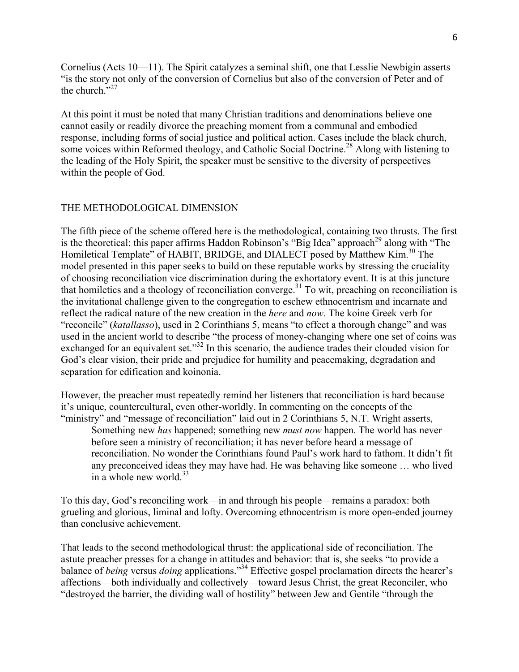Cornelius (Acts 10—11). The Spirit catalyzes a seminal shift, one that Lesslie Newbigin asserts "is the story not only of the conversion of Cornelius but also of the conversion of Peter and of the church."<sup>27</sup>

At this point it must be noted that many Christian traditions and denominations believe one cannot easily or readily divorce the preaching moment from a communal and embodied response, including forms of social justice and political action. Cases include the black church, some voices within Reformed theology, and Catholic Social Doctrine.<sup>28</sup> Along with listening to the leading of the Holy Spirit, the speaker must be sensitive to the diversity of perspectives within the people of God.

# THE METHODOLOGICAL DIMENSION

The fifth piece of the scheme offered here is the methodological, containing two thrusts. The first is the theoretical: this paper affirms Haddon Robinson's "Big Idea" approach<sup>29</sup> along with "The Homiletical Template" of HABIT, BRIDGE, and DIALECT posed by Matthew Kim.<sup>30</sup> The model presented in this paper seeks to build on these reputable works by stressing the cruciality of choosing reconciliation vice discrimination during the exhortatory event. It is at this juncture that homiletics and a theology of reconciliation converge.<sup>31</sup> To wit, preaching on reconciliation is the invitational challenge given to the congregation to eschew ethnocentrism and incarnate and reflect the radical nature of the new creation in the *here* and *now*. The koine Greek verb for "reconcile" (*katallasso*), used in 2 Corinthians 5, means "to effect a thorough change" and was used in the ancient world to describe "the process of money-changing where one set of coins was exchanged for an equivalent set." $32$  In this scenario, the audience trades their clouded vision for God's clear vision, their pride and prejudice for humility and peacemaking, degradation and separation for edification and koinonia.

However, the preacher must repeatedly remind her listeners that reconciliation is hard because it's unique, countercultural, even other-worldly. In commenting on the concepts of the "ministry" and "message of reconciliation" laid out in 2 Corinthians 5, N.T. Wright asserts, Something new *has* happened; something new *must now* happen. The world has never before seen a ministry of reconciliation; it has never before heard a message of reconciliation. No wonder the Corinthians found Paul's work hard to fathom. It didn't fit any preconceived ideas they may have had. He was behaving like someone … who lived in a whole new world. $33$ 

To this day, God's reconciling work—in and through his people—remains a paradox: both grueling and glorious, liminal and lofty. Overcoming ethnocentrism is more open-ended journey than conclusive achievement.

That leads to the second methodological thrust: the applicational side of reconciliation. The astute preacher presses for a change in attitudes and behavior: that is, she seeks "to provide a balance of *being* versus *doing* applications."<sup>34</sup> Effective gospel proclamation directs the hearer's affections—both individually and collectively—toward Jesus Christ, the great Reconciler, who "destroyed the barrier, the dividing wall of hostility" between Jew and Gentile "through the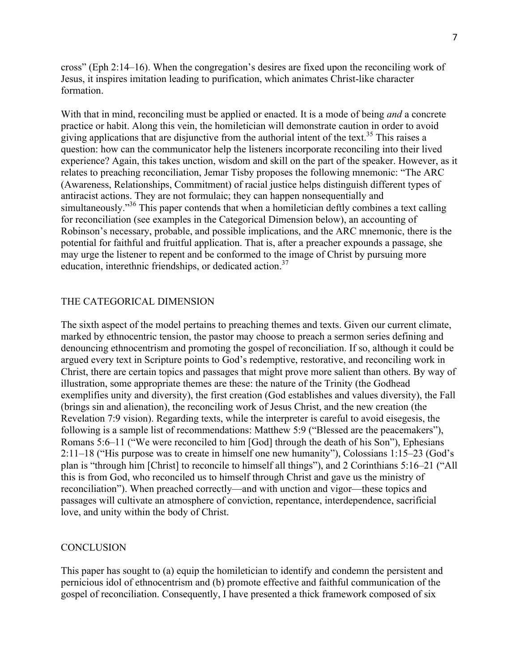cross" (Eph 2:14–16). When the congregation's desires are fixed upon the reconciling work of Jesus, it inspires imitation leading to purification, which animates Christ-like character formation.

With that in mind, reconciling must be applied or enacted. It is a mode of being *and* a concrete practice or habit. Along this vein, the homiletician will demonstrate caution in order to avoid giving applications that are disjunctive from the authorial intent of the text.<sup>35</sup> This raises a question: how can the communicator help the listeners incorporate reconciling into their lived experience? Again, this takes unction, wisdom and skill on the part of the speaker. However, as it relates to preaching reconciliation, Jemar Tisby proposes the following mnemonic: "The ARC (Awareness, Relationships, Commitment) of racial justice helps distinguish different types of antiracist actions. They are not formulaic; they can happen nonsequentially and simultaneously."<sup>36</sup> This paper contends that when a homiletician deftly combines a text calling for reconciliation (see examples in the Categorical Dimension below), an accounting of Robinson's necessary, probable, and possible implications, and the ARC mnemonic, there is the potential for faithful and fruitful application. That is, after a preacher expounds a passage, she may urge the listener to repent and be conformed to the image of Christ by pursuing more education, interethnic friendships, or dedicated action.<sup>37</sup>

### THE CATEGORICAL DIMENSION

The sixth aspect of the model pertains to preaching themes and texts. Given our current climate, marked by ethnocentric tension, the pastor may choose to preach a sermon series defining and denouncing ethnocentrism and promoting the gospel of reconciliation. If so, although it could be argued every text in Scripture points to God's redemptive, restorative, and reconciling work in Christ, there are certain topics and passages that might prove more salient than others. By way of illustration, some appropriate themes are these: the nature of the Trinity (the Godhead exemplifies unity and diversity), the first creation (God establishes and values diversity), the Fall (brings sin and alienation), the reconciling work of Jesus Christ, and the new creation (the Revelation 7:9 vision). Regarding texts, while the interpreter is careful to avoid eisegesis, the following is a sample list of recommendations: Matthew 5:9 ("Blessed are the peacemakers"), Romans 5:6–11 ("We were reconciled to him [God] through the death of his Son"), Ephesians 2:11–18 ("His purpose was to create in himself one new humanity"), Colossians 1:15–23 (God's plan is "through him [Christ] to reconcile to himself all things"), and 2 Corinthians 5:16–21 ("All this is from God, who reconciled us to himself through Christ and gave us the ministry of reconciliation"). When preached correctly—and with unction and vigor—these topics and passages will cultivate an atmosphere of conviction, repentance, interdependence, sacrificial love, and unity within the body of Christ.

#### **CONCLUSION**

This paper has sought to (a) equip the homiletician to identify and condemn the persistent and pernicious idol of ethnocentrism and (b) promote effective and faithful communication of the gospel of reconciliation. Consequently, I have presented a thick framework composed of six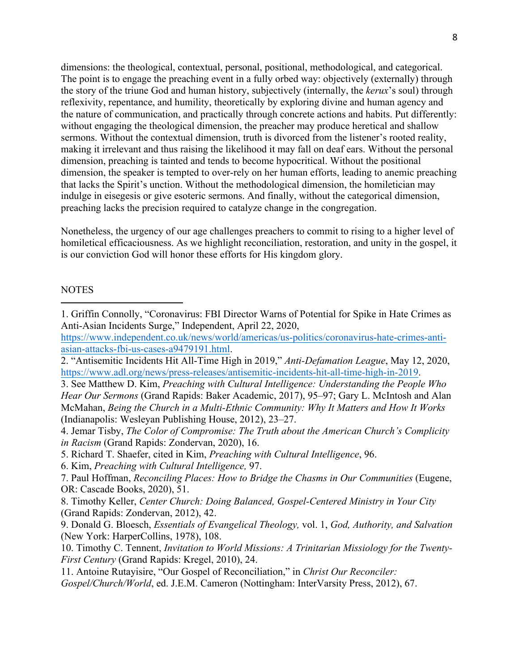dimensions: the theological, contextual, personal, positional, methodological, and categorical. The point is to engage the preaching event in a fully orbed way: objectively (externally) through the story of the triune God and human history, subjectively (internally, the *kerux*'s soul) through reflexivity, repentance, and humility, theoretically by exploring divine and human agency and the nature of communication, and practically through concrete actions and habits. Put differently: without engaging the theological dimension, the preacher may produce heretical and shallow sermons. Without the contextual dimension, truth is divorced from the listener's rooted reality, making it irrelevant and thus raising the likelihood it may fall on deaf ears. Without the personal dimension, preaching is tainted and tends to become hypocritical. Without the positional dimension, the speaker is tempted to over-rely on her human efforts, leading to anemic preaching that lacks the Spirit's unction. Without the methodological dimension, the homiletician may indulge in eisegesis or give esoteric sermons. And finally, without the categorical dimension, preaching lacks the precision required to catalyze change in the congregation.

Nonetheless, the urgency of our age challenges preachers to commit to rising to a higher level of homiletical efficaciousness. As we highlight reconciliation, restoration, and unity in the gospel, it is our conviction God will honor these efforts for His kingdom glory.

### **NOTES**

 

1. Griffin Connolly, "Coronavirus: FBI Director Warns of Potential for Spike in Hate Crimes as Anti-Asian Incidents Surge," Independent, April 22, 2020,

https://www.independent.co.uk/news/world/americas/us-politics/coronavirus-hate-crimes-antiasian-attacks-fbi-us-cases-a9479191.html.

3. See Matthew D. Kim, *Preaching with Cultural Intelligence: Understanding the People Who Hear Our Sermons* (Grand Rapids: Baker Academic, 2017), 95–97; Gary L. McIntosh and Alan McMahan, *Being the Church in a Multi-Ethnic Community: Why It Matters and How It Works*  (Indianapolis: Wesleyan Publishing House, 2012), 23–27.

- 5. Richard T. Shaefer, cited in Kim, *Preaching with Cultural Intelligence*, 96.
- 6. Kim, *Preaching with Cultural Intelligence,* 97.

<sup>2.</sup> "Antisemitic Incidents Hit All-Time High in 2019," *Anti-Defamation League*, May 12, 2020, https://www.adl.org/news/press-releases/antisemitic-incidents-hit-all-time-high-in-2019.

<sup>4.</sup> Jemar Tisby, *The Color of Compromise: The Truth about the American Church's Complicity in Racism* (Grand Rapids: Zondervan, 2020), 16.

<sup>7.</sup> Paul Hoffman, *Reconciling Places: How to Bridge the Chasms in Our Communities* (Eugene, OR: Cascade Books, 2020), 51.

<sup>8.</sup> Timothy Keller, *Center Church: Doing Balanced, Gospel-Centered Ministry in Your City*  (Grand Rapids: Zondervan, 2012), 42.

<sup>9.</sup> Donald G. Bloesch, *Essentials of Evangelical Theology,* vol. 1, *God, Authority, and Salvation*  (New York: HarperCollins, 1978), 108.

<sup>10.</sup> Timothy C. Tennent, *Invitation to World Missions: A Trinitarian Missiology for the Twenty-First Century* (Grand Rapids: Kregel, 2010), 24.

<sup>11.</sup> Antoine Rutayisire, "Our Gospel of Reconciliation," in *Christ Our Reconciler:* 

*Gospel/Church/World*, ed. J.E.M. Cameron (Nottingham: InterVarsity Press, 2012), 67.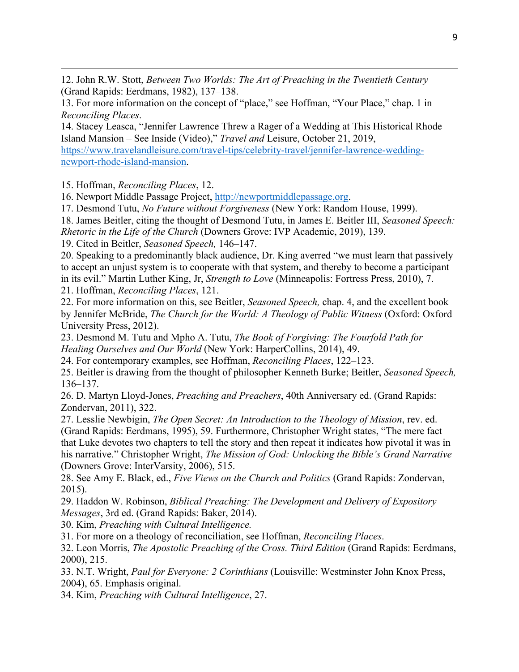12. John R.W. Stott, *Between Two Worlds: The Art of Preaching in the Twentieth Century*  (Grand Rapids: Eerdmans, 1982), 137–138.

<u> 1989 - Jan Sarajević, politički predsjednik i politički politički politički politički politički politički po</u>

13. For more information on the concept of "place," see Hoffman, "Your Place," chap. 1 in *Reconciling Places*.

14. Stacey Leasca, "Jennifer Lawrence Threw a Rager of a Wedding at This Historical Rhode Island Mansion – See Inside (Video)," *Travel and* Leisure, October 21, 2019, https://www.travelandleisure.com/travel-tips/celebrity-travel/jennifer-lawrence-weddingnewport-rhode-island-mansion.

15. Hoffman, *Reconciling Places*, 12.

16. Newport Middle Passage Project, http://newportmiddlepassage.org.

17. Desmond Tutu, *No Future without Forgiveness* (New York: Random House, 1999).

18. James Beitler, citing the thought of Desmond Tutu, in James E. Beitler III, *Seasoned Speech: Rhetoric in the Life of the Church* (Downers Grove: IVP Academic, 2019), 139.

19. Cited in Beitler, *Seasoned Speech,* 146–147.

20. Speaking to a predominantly black audience, Dr. King averred "we must learn that passively to accept an unjust system is to cooperate with that system, and thereby to become a participant in its evil." Martin Luther King, Jr, *Strength to Love* (Minneapolis: Fortress Press, 2010), 7.

21. Hoffman, *Reconciling Places*, 121.

22. For more information on this, see Beitler, *Seasoned Speech,* chap. 4, and the excellent book by Jennifer McBride, *The Church for the World: A Theology of Public Witness* (Oxford: Oxford University Press, 2012).

23. Desmond M. Tutu and Mpho A. Tutu, *The Book of Forgiving: The Fourfold Path for Healing Ourselves and Our World* (New York: HarperCollins, 2014), 49.

24. For contemporary examples, see Hoffman, *Reconciling Places*, 122–123.

25. Beitler is drawing from the thought of philosopher Kenneth Burke; Beitler, *Seasoned Speech,*  136–137.

26. D. Martyn Lloyd-Jones, *Preaching and Preachers*, 40th Anniversary ed. (Grand Rapids: Zondervan, 2011), 322.

27. Lesslie Newbigin, *The Open Secret: An Introduction to the Theology of Mission*, rev. ed. (Grand Rapids: Eerdmans, 1995), 59. Furthermore, Christopher Wright states, "The mere fact that Luke devotes two chapters to tell the story and then repeat it indicates how pivotal it was in his narrative." Christopher Wright, *The Mission of God: Unlocking the Bible's Grand Narrative*  (Downers Grove: InterVarsity, 2006), 515.

28. See Amy E. Black, ed., *Five Views on the Church and Politics* (Grand Rapids: Zondervan, 2015).

29. Haddon W. Robinson, *Biblical Preaching: The Development and Delivery of Expository Messages*, 3rd ed. (Grand Rapids: Baker, 2014).

30. Kim, *Preaching with Cultural Intelligence.* 

31. For more on a theology of reconciliation, see Hoffman, *Reconciling Places*.

32. Leon Morris, *The Apostolic Preaching of the Cross. Third Edition* (Grand Rapids: Eerdmans, 2000), 215.

33. N.T. Wright, *Paul for Everyone: 2 Corinthians* (Louisville: Westminster John Knox Press, 2004), 65. Emphasis original.

34. Kim, *Preaching with Cultural Intelligence*, 27.